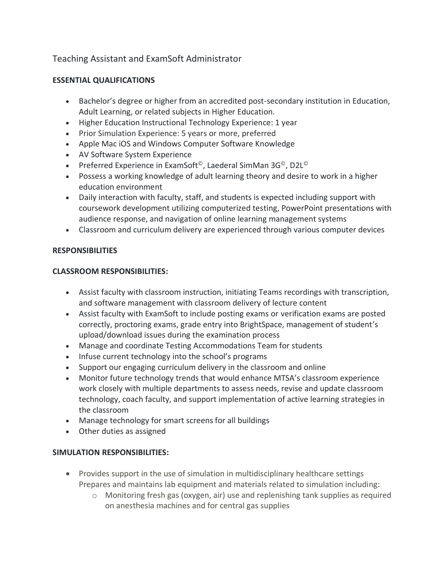# Teaching Assistant and ExamSoft Administrator

### **ESSENTIAL QUALIFICATIONS**

- Bachelor's degree or higher from an accredited post-secondary institution in Education, Adult Learning, or related subjects in Higher Education.
- Higher Education Instructional Technology Experience: 1 year
- Prior Simulation Experience: 5 years or more, preferred
- Apple Mac iOS and Windows Computer Software Knowledge
- AV Software System Experience
- Preferred Experience in ExamSoft<sup>©</sup>, Laederal SimMan 3G<sup>©</sup>, D2L<sup>©</sup>
- Possess a working knowledge of adult learning theory and desire to work in a higher education environment
- Daily interaction with faculty, staff, and students is expected including support with coursework development utilizing computerized testing, PowerPoint presentations with audience response, and navigation of online learning management systems
- Classroom and curriculum delivery are experienced through various computer devices

#### **RESPONSIBILITIES**

#### **CLASSROOM RESPONSIBILITIES:**

- Assist faculty with classroom instruction, initiating Teams recordings with transcription, and software management with classroom delivery of lecture content
- Assist faculty with ExamSoft to include posting exams or verification exams are posted correctly, proctoring exams, grade entry into BrightSpace, management of student's upload/download issues during the examination process
- Manage and coordinate Testing Accommodations Team for students
- Infuse current technology into the school's programs
- Support our engaging curriculum delivery in the classroom and online
- Monitor future technology trends that would enhance MTSA's classroom experience work closely with multiple departments to assess needs, revise and update classroom technology, coach faculty, and support implementation of active learning strategies in the classroom
- Manage technology for smart screens for all buildings
- Other duties as assigned

### **SIMULATION RESPONSIBILITIES:**

- Provides support in the use of simulation in multidisciplinary healthcare settings Prepares and maintains lab equipment and materials related to simulation including:
	- $\circ$  Monitoring fresh gas (oxygen, air) use and replenishing tank supplies as required on anesthesia machines and for central gas supplies